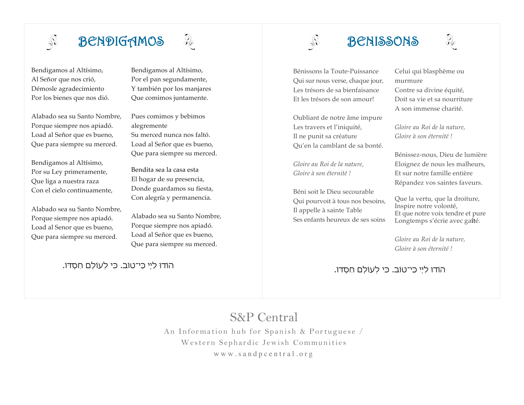

# BENDIGAMOS

Bendigamos al Altísimo, Al Señor que nos crió, Démosle agradecimiento Por los bienes que nos dió.

Alabado sea su Santo Nombre, Porque siempre nos apiadó. Load al Señor que es bueno, Que para siempre su merced.

Bendigamos al Altísimo, Por su Ley primeramente, Que liga a nuestra raza Con el cielo continuamente,

Alabado sea su Santo Nombre, Porque siempre nos apiadó. Load al Senor que es bueno, Que para siempre su merced.

Bendigamos al Altísimo, Por el pan segundamente, Y también por los manjares Que comimos juntamente.

 $\partial_{\mathcal{E}}$ 

Pues comimos y bebimos alegremente Su merced nunca nos faltó. Load al Señor que es bueno, Que para siempre su merced.

Bendita sea la casa esta El hogar de su presencia, Donde guardamos su fiesta, Con alegría y permanencia.

Alabado sea su Santo Nombre, Porque siempre nos apiadó. Load al Señor que es bueno, Que para siempre su merced.

הוֹדוּ לַי ָי כִּי־טוֹב. כּי לְעוֹלָם חַסְדּוֹ.

# BENISSONS



 $\sqrt{\frac{1}{2}}$ 

Oubliant de notre âme impure Les travers et l'iniquité, Il ne punit sa créature Qu'en la camblant de sa bonté.

*Gloire au Roi de la nature, Gloire à son éternité !*

Béni soit le Dieu secourable Qui pourvoit à tous nos besoins, Il appelle à sainte Table Ses enfants heureux de ses soins

Celui qui blasphème ou murmure Contre sa divine équité, Doit sa vie et sa nourriture A son immense charité.

*Gloire au Roi de la nature, Gloire à son éternité !*

Bénissez-nous, Dieu de lumière Eloignez de nous les malheurs, Et sur notre famille entière Répandez vos saintes faveurs.

Que la vertu, que la droiture, Inspire notre volonté, Et que notre voix tendre et pure Longtemps s'écrie avec gaîté.

*Gloire au Roi de la nature, Gloire à son éternité !*

הוֹדוּ לַי ָי כִּי־טוֹב. כּי לְעוֹלָם חַסְדּוֹ.

## S&P Central

An Information hub for Spanish & Portuguese / Western Sephardic Jewish Communities www.sandpcentral.org